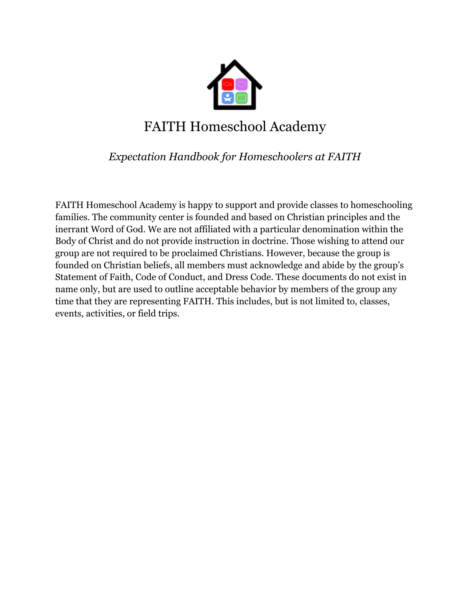

# FAITH Homeschool Academy

### *Expectation Handbook for Homeschoolers at FAITH*

FAITH Homeschool Academy is happy to support and provide classes to homeschooling families. The community center is founded and based on Christian principles and the inerrant Word of God. We are not affiliated with a particular denomination within the Body of Christ and do not provide instruction in doctrine. Those wishing to attend our group are not required to be proclaimed Christians. However, because the group is founded on Christian beliefs, all members must acknowledge and abide by the group's Statement of Faith, Code of Conduct, and Dress Code. These documents do not exist in name only, but are used to outline acceptable behavior by members of the group any time that they are representing FAITH. This includes, but is not limited to, classes, events, activities, or field trips.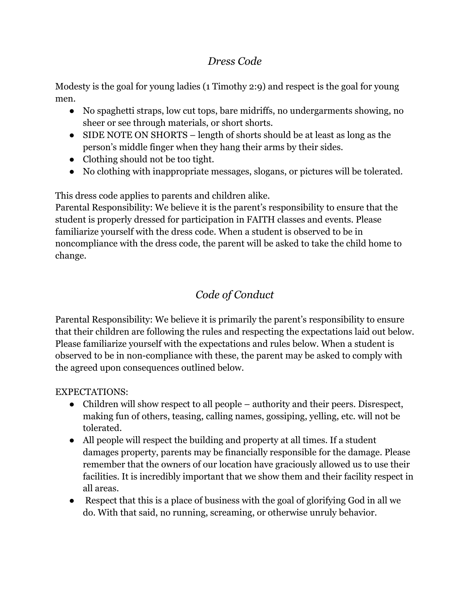#### *Dress Code*

Modesty is the goal for young ladies (1 Timothy 2:9) and respect is the goal for young men.

- No spaghetti straps, low cut tops, bare midriffs, no undergarments showing, no sheer or see through materials, or short shorts.
- SIDE NOTE ON SHORTS length of shorts should be at least as long as the person's middle finger when they hang their arms by their sides.
- Clothing should not be too tight.
- No clothing with inappropriate messages, slogans, or pictures will be tolerated.

This dress code applies to parents and children alike.

Parental Responsibility: We believe it is the parent's responsibility to ensure that the student is properly dressed for participation in FAITH classes and events. Please familiarize yourself with the dress code. When a student is observed to be in noncompliance with the dress code, the parent will be asked to take the child home to change.

## *Code of Conduct*

Parental Responsibility: We believe it is primarily the parent's responsibility to ensure that their children are following the rules and respecting the expectations laid out below. Please familiarize yourself with the expectations and rules below. When a student is observed to be in non-compliance with these, the parent may be asked to comply with the agreed upon consequences outlined below.

#### EXPECTATIONS:

- Children will show respect to all people authority and their peers. Disrespect, making fun of others, teasing, calling names, gossiping, yelling, etc. will not be tolerated.
- All people will respect the building and property at all times. If a student damages property, parents may be financially responsible for the damage. Please remember that the owners of our location have graciously allowed us to use their facilities. It is incredibly important that we show them and their facility respect in all areas.
- Respect that this is a place of business with the goal of glorifying God in all we do. With that said, no running, screaming, or otherwise unruly behavior.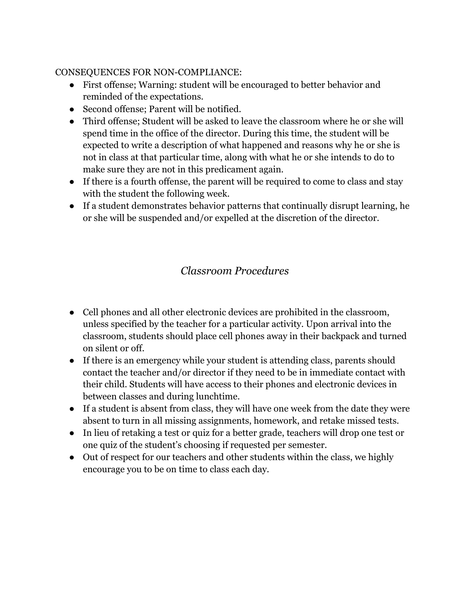#### CONSEQUENCES FOR NON-COMPLIANCE:

- First offense; Warning: student will be encouraged to better behavior and reminded of the expectations.
- Second offense; Parent will be notified.
- Third offense; Student will be asked to leave the classroom where he or she will spend time in the office of the director. During this time, the student will be expected to write a description of what happened and reasons why he or she is not in class at that particular time, along with what he or she intends to do to make sure they are not in this predicament again.
- If there is a fourth offense, the parent will be required to come to class and stay with the student the following week.
- If a student demonstrates behavior patterns that continually disrupt learning, he or she will be suspended and/or expelled at the discretion of the director.

#### *Classroom Procedures*

- Cell phones and all other electronic devices are prohibited in the classroom, unless specified by the teacher for a particular activity. Upon arrival into the classroom, students should place cell phones away in their backpack and turned on silent or off.
- If there is an emergency while your student is attending class, parents should contact the teacher and/or director if they need to be in immediate contact with their child. Students will have access to their phones and electronic devices in between classes and during lunchtime.
- If a student is absent from class, they will have one week from the date they were absent to turn in all missing assignments, homework, and retake missed tests.
- In lieu of retaking a test or quiz for a better grade, teachers will drop one test or one quiz of the student's choosing if requested per semester.
- Out of respect for our teachers and other students within the class, we highly encourage you to be on time to class each day.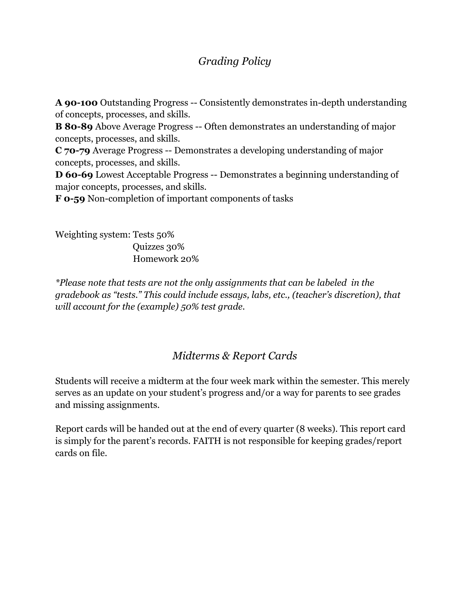#### *Grading Policy*

**A 90-100** Outstanding Progress -- Consistently demonstrates in-depth understanding of concepts, processes, and skills. **B 80-89** Above Average Progress -- Often demonstrates an understanding of major concepts, processes, and skills. **C 70-79** Average Progress -- Demonstrates a developing understanding of major concepts, processes, and skills. **D 60-69** Lowest Acceptable Progress -- Demonstrates a beginning understanding of major concepts, processes, and skills.

**F 0-59** Non-completion of important components of tasks

Weighting system: Tests 50% Quizzes 30% Homework 20%

*\*Please note that tests are not the only assignments that can be labeled in the gradebook as "tests." This could include essays, labs, etc., (teacher's discretion), that will account for the (example) 50% test grade.*

#### *Midterms & Report Cards*

Students will receive a midterm at the four week mark within the semester. This merely serves as an update on your student's progress and/or a way for parents to see grades and missing assignments.

Report cards will be handed out at the end of every quarter (8 weeks). This report card is simply for the parent's records. FAITH is not responsible for keeping grades/report cards on file.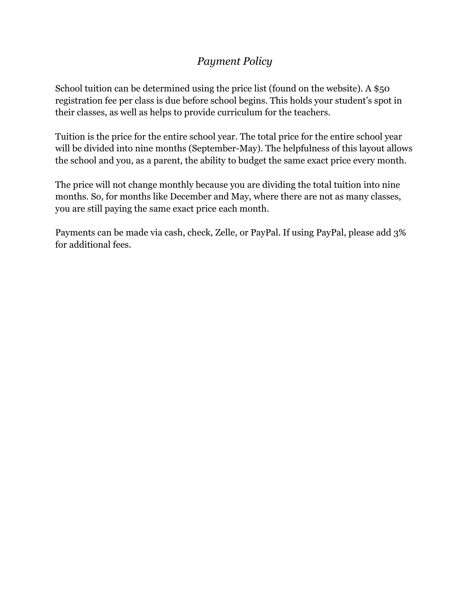#### *Payment Policy*

School tuition can be determined using the price list (found on the website). A \$50 registration fee per class is due before school begins. This holds your student's spot in their classes, as well as helps to provide curriculum for the teachers.

Tuition is the price for the entire school year. The total price for the entire school year will be divided into nine months (September-May). The helpfulness of this layout allows the school and you, as a parent, the ability to budget the same exact price every month.

The price will not change monthly because you are dividing the total tuition into nine months. So, for months like December and May, where there are not as many classes, you are still paying the same exact price each month.

Payments can be made via cash, check, Zelle, or PayPal. If using PayPal, please add 3% for additional fees.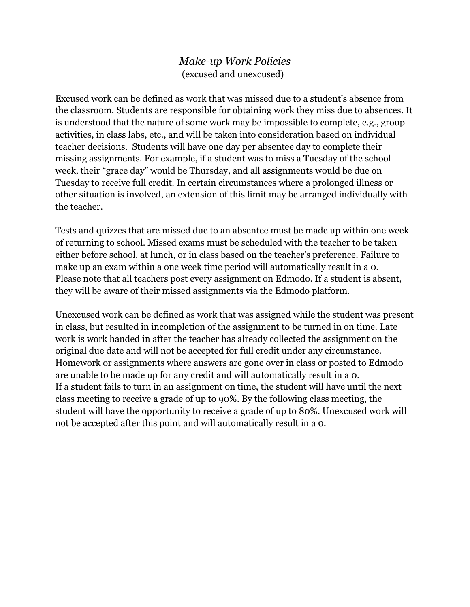#### *Make-up Work Policies* (excused and unexcused)

Excused work can be defined as work that was missed due to a student's absence from the classroom. Students are responsible for obtaining work they miss due to absences. It is understood that the nature of some work may be impossible to complete, e.g., group activities, in class labs, etc., and will be taken into consideration based on individual teacher decisions. Students will have one day per absentee day to complete their missing assignments. For example, if a student was to miss a Tuesday of the school week, their "grace day" would be Thursday, and all assignments would be due on Tuesday to receive full credit. In certain circumstances where a prolonged illness or other situation is involved, an extension of this limit may be arranged individually with the teacher.

Tests and quizzes that are missed due to an absentee must be made up within one week of returning to school. Missed exams must be scheduled with the teacher to be taken either before school, at lunch, or in class based on the teacher's preference. Failure to make up an exam within a one week time period will automatically result in a 0. Please note that all teachers post every assignment on Edmodo. If a student is absent, they will be aware of their missed assignments via the Edmodo platform.

Unexcused work can be defined as work that was assigned while the student was present in class, but resulted in incompletion of the assignment to be turned in on time. Late work is work handed in after the teacher has already collected the assignment on the original due date and will not be accepted for full credit under any circumstance. Homework or assignments where answers are gone over in class or posted to Edmodo are unable to be made up for any credit and will automatically result in a 0. If a student fails to turn in an assignment on time, the student will have until the next class meeting to receive a grade of up to 90%. By the following class meeting, the student will have the opportunity to receive a grade of up to 80%. Unexcused work will not be accepted after this point and will automatically result in a 0.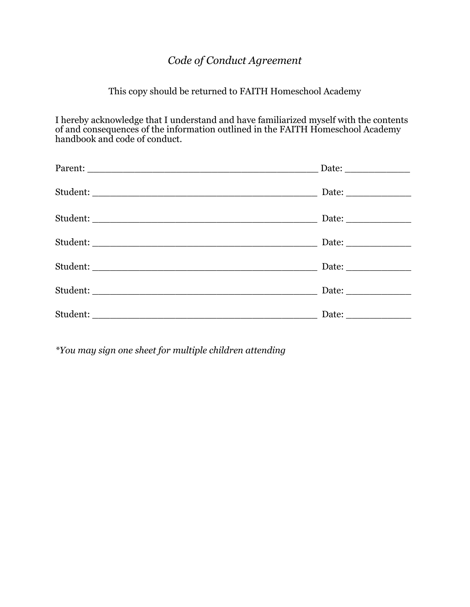## *Code of Conduct Agreement*

#### This copy should be returned to FAITH Homeschool Academy

I hereby acknowledge that I understand and have familiarized myself with the contents of and consequences of the information outlined in the FAITH Homeschool Academy handbook and code of conduct.

*\*You may sign one sheet for multiple children attending*